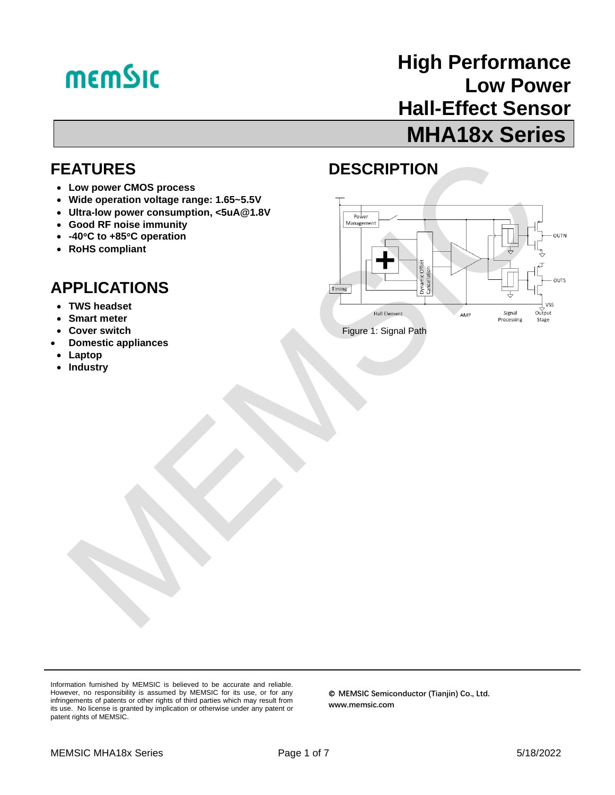# **memSic**

## **High Performance Low Power Hall-Effect Sensor MHA18x Series**

### **FEATURES**

- **Low power CMOS process**
- **Wide operation voltage range: 1.65~5.5V**
- **Ultra-low power consumption, <5uA@1.8V**
- **Good RF noise immunity**
- **-40C to +85C operation**
- **RoHS compliant**

## **APPLICATIONS**

- **TWS headset**
- **Smart meter**
- **Cover switch**
- **Domestic appliances**
- **Laptop**
- **Industry**

## **DESCRIPTION**



Information furnished by MEMSIC is believed to be accurate and reliable. However, no responsibility is assumed by MEMSIC for its use, or for any infringements of patents or other rights of third parties which may result from its use. No license is granted by implication or otherwise under any patent or patent rights of MEMSIC.

© **MEMSIC Semiconductor (Tianjin) Co., Ltd. www.memsic.com**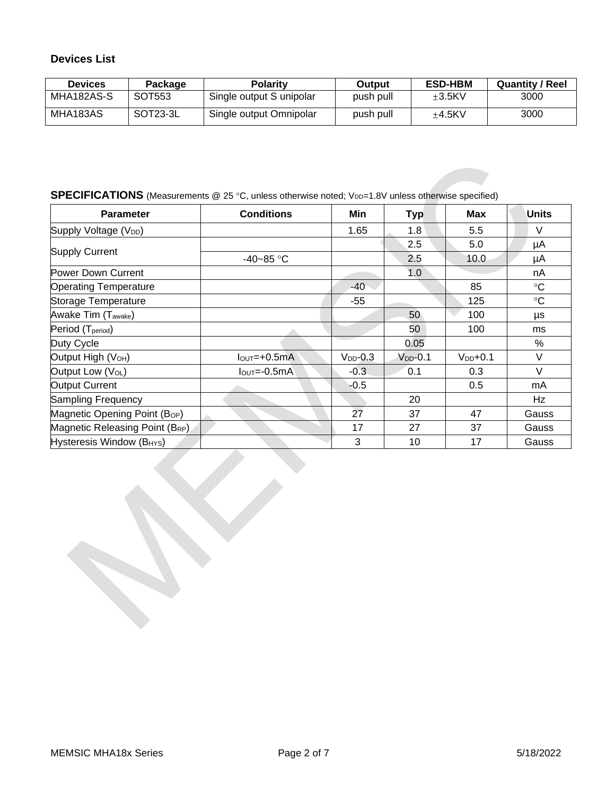#### **Devices List**

| <b>Devices</b> | Package  | <b>Polarity</b>          | Output    | <b>ESD-HBM</b> | <b>Quantity / Reel</b> |
|----------------|----------|--------------------------|-----------|----------------|------------------------|
| MHA182AS-S     | SOT553   | Single output S unipolar | push pull | $+3.5$ KV      | 3000                   |
| MHA183AS       | SOT23-3L | Single output Omnipolar  | push pull | $+4.5$ KV      | 3000                   |

#### **SPECIFICATIONS** (Measurements @ 25 °C, unless otherwise noted; V<sub>DD</sub>=1.8V unless otherwise specified)

| <b>Parameter</b>                          | <b>Conditions</b> | Min            | <b>Typ</b>     | <b>Max</b>   | <b>Units</b> |
|-------------------------------------------|-------------------|----------------|----------------|--------------|--------------|
| Supply Voltage (V <sub>DD</sub> )         |                   | 1.65           | 1.8            | 5.5          | $\vee$       |
|                                           |                   |                | 2.5            | 5.0          | μA           |
| <b>Supply Current</b>                     | $-40 - 85$ °C     |                | 2.5            | 10.0         | μA           |
| Power Down Current                        |                   |                | 1.0            |              | nA           |
| <b>Operating Temperature</b>              |                   | -40            |                | 85           | $\circ$ C    |
| Storage Temperature                       |                   | $-55$          |                | 125          | $\circ$ C    |
| Awake Tim (Tawake)                        |                   |                | 50             | 100          | μs           |
| Period (T <sub>period</sub> )             |                   |                | 50             | 100          | ms           |
| Duty Cycle                                |                   |                | 0.05           |              | %            |
| Output High (V <sub>OH</sub> )            | $IOUT=+0.5mA$     | $V_{DD} - 0.3$ | $V_{DD} - 0.1$ | $V_{DD}+0.1$ | V            |
| Output Low (VoL)                          | $IOUT=-0.5mA$     | $-0.3$         | 0.1            | 0.3          | V            |
| Output Current                            |                   | $-0.5$         |                | 0.5          | mA           |
| Sampling Frequency                        |                   |                | 20             |              | Hz           |
| Magnetic Opening Point (B <sub>OP</sub> ) |                   | 27             | 37             | 47           | Gauss        |
| Magnetic Releasing Point (BRP)            |                   | 17             | 27             | 37           | Gauss        |
| Hysteresis Window (B <sub>HYS</sub> )     |                   | 3              | 10             | 17           | Gauss        |
|                                           |                   |                |                |              |              |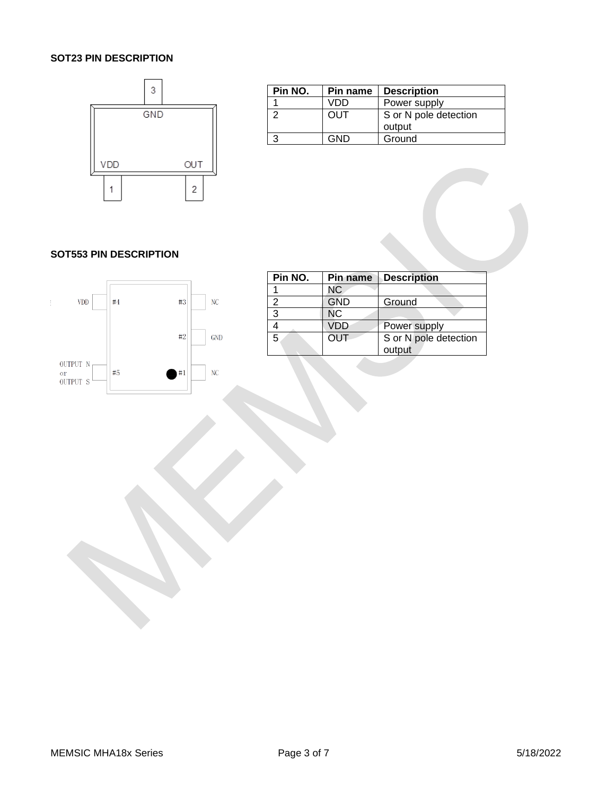#### **SOT23 PIN DESCRIPTION**



| Pin NO. | Pin name | <b>Description</b>    |
|---------|----------|-----------------------|
|         | VDD      | Power supply          |
|         | OUT      | S or N pole detection |
|         |          | output                |
|         | GND      | Ground                |

#### **SOT553 PIN DESCRIPTION**



| Pin NO. | <b>Pin name</b> | <b>Description</b>    |
|---------|-----------------|-----------------------|
|         | <b>NC</b>       |                       |
| 2       | <b>GND</b>      | Ground                |
| 3       | ΝC              |                       |
|         | VDD             | Power supply          |
| 5       | OUT             | S or N pole detection |
|         |                 | output                |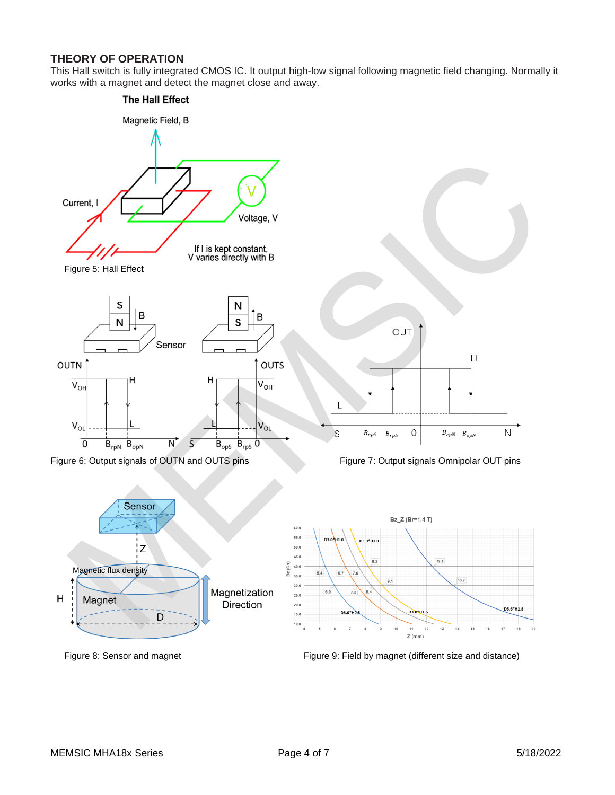#### **THEORY OF OPERATION**

This Hall switch is fully integrated CMOS IC. It output high-low signal following magnetic field changing. Normally it works with a magnet and detect the magnet close and away.



Figure 8: Sensor and magnet **Figure 9: Field by magnet (different size and distance)** Figure 9: Field by magnet (different size and distance)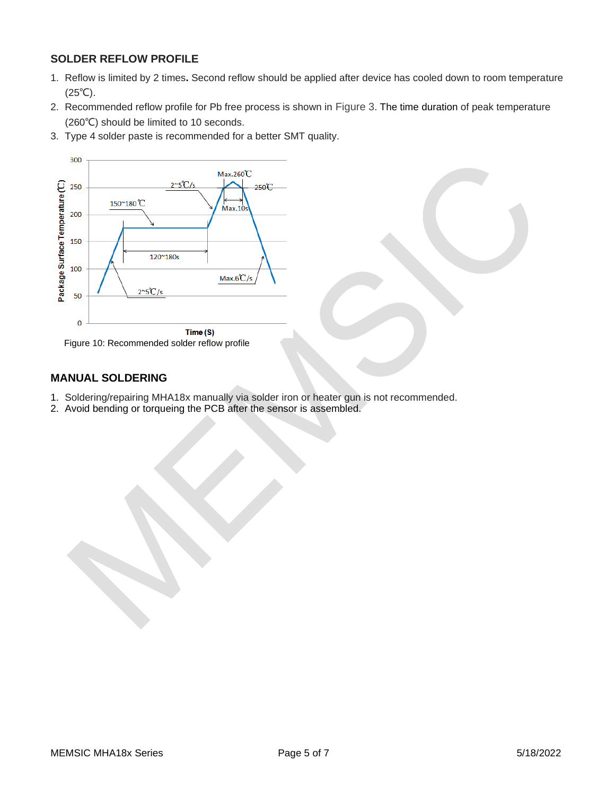#### **SOLDER REFLOW PROFILE**

- 1. Reflow is limited by 2 times**.** Second reflow should be applied after device has cooled down to room temperature (25℃).
- 2. Recommended reflow profile for Pb free process is shown in Figure 3. The time duration of peak temperature (260℃) should be limited to 10 seconds.
- 3. Type 4 solder paste is recommended for a better SMT quality.



Figure 10: Recommended solder reflow profile

#### **MANUAL SOLDERING**

- 1. Soldering/repairing MHA18x manually via solder iron or heater gun is not recommended.
- 2. Avoid bending or torqueing the PCB after the sensor is assembled.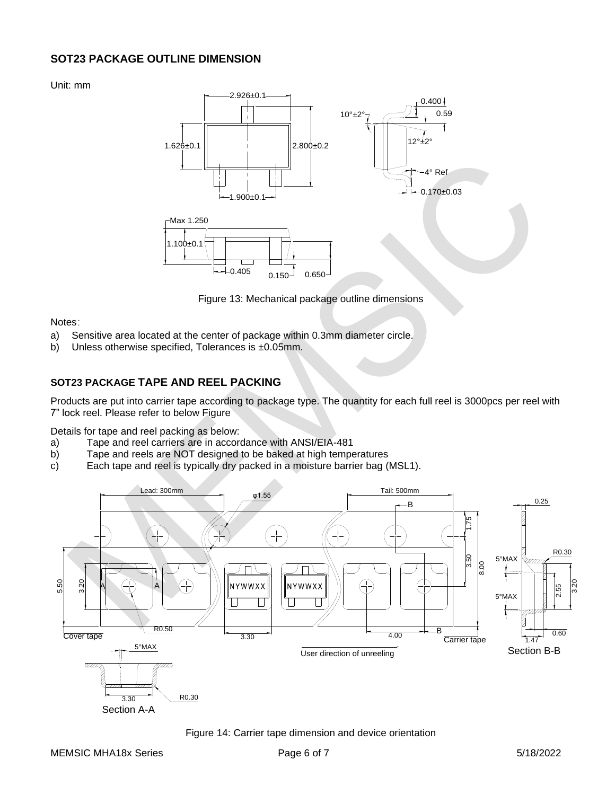#### **SOT23 PACKAGE OUTLINE DIMENSION**

Unit: mm



Figure 13: Mechanical package outline dimensions

Notes:

- a) Sensitive area located at the center of package within 0.3mm diameter circle.
- b) Unless otherwise specified, Tolerances is ±0.05mm.

#### **SOT23 PACKAGE TAPE AND REEL PACKING**

Products are put into carrier tape according to package type. The quantity for each full reel is 3000pcs per reel with 7" lock reel. Please refer to below Figure

Details for tape and reel packing as below:

- a) Tape and reel carriers are in accordance with ANSI/EIA-481
- b) Tape and reels are NOT designed to be baked at high temperatures
- c) Each tape and reel is typically dry packed in a moisture barrier bag (MSL1).



Figure 14: Carrier tape dimension and device orientation